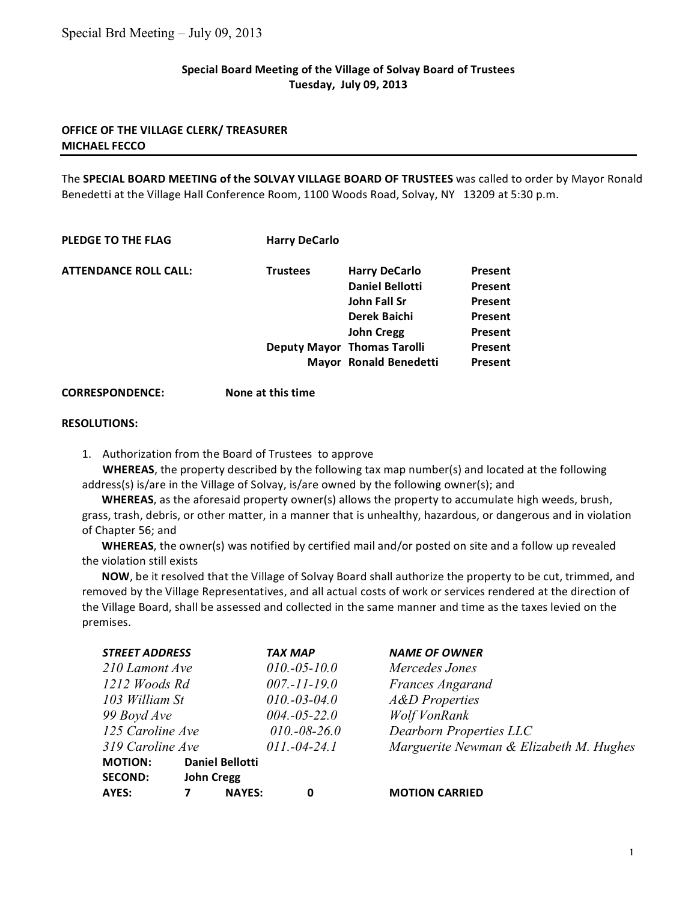## **Special
Board
Meeting
of
the
Village
of
Solvay
Board
of
Trustees Tuesday,

July 09,
2013**

## **OFFICE
OF
THE
VILLAGE
CLERK/
TREASURER MICHAEL
FECCO**

The SPECIAL BOARD MEETING of the SOLVAY VILLAGE BOARD OF TRUSTEES was called to order by Mayor Ronald Benedetti at the Village Hall Conference Room, 1100 Woods Road, Solvay, NY 13209 at 5:30 p.m.

| PLEDGE TO THE FLAG           | <b>Harry DeCarlo</b> |                               |         |
|------------------------------|----------------------|-------------------------------|---------|
| <b>ATTENDANCE ROLL CALL:</b> | <b>Trustees</b>      | <b>Harry DeCarlo</b>          | Present |
|                              |                      | <b>Daniel Bellotti</b>        | Present |
|                              |                      | John Fall Sr                  | Present |
|                              |                      | Derek Baichi                  | Present |
|                              |                      | <b>John Cregg</b>             | Present |
|                              |                      | Deputy Mayor Thomas Tarolli   | Present |
|                              |                      | <b>Mayor Ronald Benedetti</b> | Present |

**CORRESPONDENCE: None
at
this
time**

## **RESOLUTIONS:**

1. Authorization
from
the
Board
of
Trustees

to
approve

WHEREAS, the property described by the following tax map number(s) and located at the following address(s) is/are in the Village of Solvay, is/are owned by the following owner(s); and

WHEREAS, as the aforesaid property owner(s) allows the property to accumulate high weeds, brush, grass, trash, debris, or other matter, in a manner that is unhealthy, hazardous, or dangerous and in violation of
Chapter
56;
and

WHEREAS, the owner(s) was notified by certified mail and/or posted on site and a follow up revealed the
violation
still
exists

NOW, be it resolved that the Village of Solvay Board shall authorize the property to be cut, trimmed, and removed by the Village Representatives, and all actual costs of work or services rendered at the direction of the Village Board, shall be assessed and collected in the same manner and time as the taxes levied on the premises.

| <b>STREET ADDRESS</b> |                   |                        | <b>TAX MAP</b>    | <b>NAME OF OWNER</b>                    |
|-----------------------|-------------------|------------------------|-------------------|-----------------------------------------|
| 210 Lamont Ave        |                   |                        | $010.-05-10.0$    | Mercedes Jones                          |
| 1212 Woods Rd         |                   |                        | $007 - 11 - 19.0$ | <b>Frances Angarand</b>                 |
| 103 William St        |                   |                        | $010.-03-04.0$    | <b>A&amp;D</b> Properties               |
| 99 Boyd Ave           |                   |                        | $004.-05-22.0$    | Wolf VonRank                            |
| 125 Caroline Ave      |                   |                        | $010.-08-26.0$    | Dearborn Properties LLC                 |
| 319 Caroline Ave      |                   |                        | $011.-04-24.1$    | Marguerite Newman & Elizabeth M. Hughes |
| <b>MOTION:</b>        |                   | <b>Daniel Bellotti</b> |                   |                                         |
| <b>SECOND:</b>        | <b>John Cregg</b> |                        |                   |                                         |
| AYES:                 | 7                 | <b>NAYES:</b>          | 0                 | <b>MOTION CARRIED</b>                   |